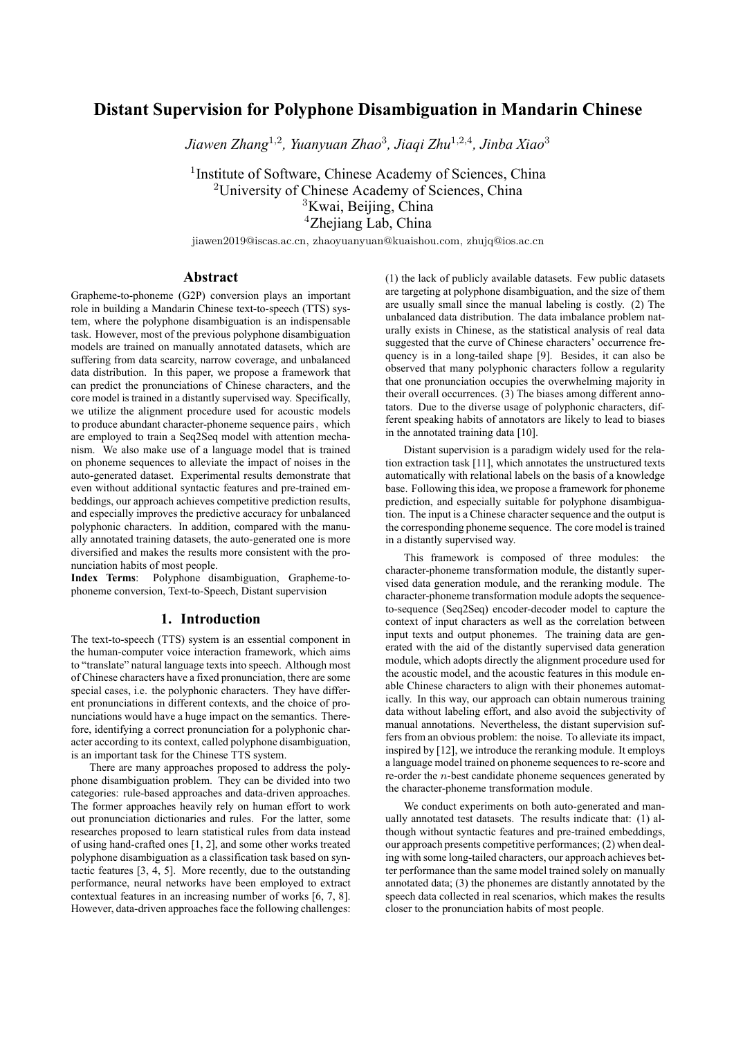# **Distant Supervision for Polyphone Disambiguation in Mandarin Chinese**

*Jiawen Zhang*<sup>1</sup>*,*<sup>2</sup> *, Yuanyuan Zhao*<sup>3</sup> *, Jiaqi Zhu*<sup>1</sup>*,*2*,*<sup>4</sup> *, Jinba Xiao*<sup>3</sup>

<sup>1</sup> Institute of Software, Chinese Academy of Sciences, China University of Chinese Academy of Sciences, China Kwai, Beijing, China Zhejiang Lab, China

jiawen2019@iscas.ac.cn, zhaoyuanyuan@kuaishou.com, zhujq@ios.ac.cn

# **Abstract**

Grapheme-to-phoneme (G2P) conversion plays an important role in building a Mandarin Chinese text-to-speech (TTS) system, where the polyphone disambiguation is an indispensable task. However, most of the previous polyphone disambiguation models are trained on manually annotated datasets, which are suffering from data scarcity, narrow coverage, and unbalanced data distribution. In this paper, we propose a framework that can predict the pronunciations of Chinese characters, and the core model is trained in a distantly supervised way. Specifically, we utilize the alignment procedure used for acoustic models to produce abundant character-phoneme sequence pairs, which are employed to train a Seq2Seq model with attention mechanism. We also make use of a language model that is trained on phoneme sequences to alleviate the impact of noises in the auto-generated dataset. Experimental results demonstrate that even without additional syntactic features and pre-trained embeddings, our approach achieves competitive prediction results, and especially improves the predictive accuracy for unbalanced polyphonic characters. In addition, compared with the manually annotated training datasets, the auto-generated one is more diversified and makes the results more consistent with the pronunciation habits of most people.

**Index Terms**: Polyphone disambiguation, Grapheme-tophoneme conversion, Text-to-Speech, Distant supervision

# **1. Introduction**

The text-to-speech (TTS) system is an essential component in the human-computer voice interaction framework, which aims to "translate" natural language texts into speech. Although most of Chinese characters have a fixed pronunciation, there are some special cases, i.e. the polyphonic characters. They have different pronunciations in different contexts, and the choice of pronunciations would have a huge impact on the semantics. Therefore, identifying a correct pronunciation for a polyphonic character according to its context, called polyphone disambiguation, is an important task for the Chinese TTS system.

There are many approaches proposed to address the polyphone disambiguation problem. They can be divided into two categories: rule-based approaches and data-driven approaches. The former approaches heavily rely on human effort to work out pronunciation dictionaries and rules. For the latter, some researches proposed to learn statistical rules from data instead of using hand-crafted ones [1, 2], and some other works treated polyphone disambiguation as a classification task based on syntactic features [3, 4, 5]. More recently, due to the outstanding performance, neural networks have been employed to extract contextual features in an increasing number of works [6, 7, 8]. However, data-driven approaches face the following challenges: (1) the lack of publicly available datasets. Few public datasets are targeting at polyphone disambiguation, and the size of them are usually small since the manual labeling is costly. (2) The unbalanced data distribution. The data imbalance problem naturally exists in Chinese, as the statistical analysis of real data suggested that the curve of Chinese characters' occurrence frequency is in a long-tailed shape [9]. Besides, it can also be observed that many polyphonic characters follow a regularity that one pronunciation occupies the overwhelming majority in their overall occurrences. (3) The biases among different annotators. Due to the diverse usage of polyphonic characters, different speaking habits of annotators are likely to lead to biases in the annotated training data [10].

Distant supervision is a paradigm widely used for the relation extraction task [11], which annotates the unstructured texts automatically with relational labels on the basis of a knowledge base. Following this idea, we propose a framework for phoneme prediction, and especially suitable for polyphone disambiguation. The input is a Chinese character sequence and the output is the corresponding phoneme sequence. The core model is trained in a distantly supervised way.

This framework is composed of three modules: the character-phoneme transformation module, the distantly supervised data generation module, and the reranking module. The character-phoneme transformation module adopts the sequenceto-sequence (Seq2Seq) encoder-decoder model to capture the context of input characters as well as the correlation between input texts and output phonemes. The training data are generated with the aid of the distantly supervised data generation module, which adopts directly the alignment procedure used for the acoustic model, and the acoustic features in this module enable Chinese characters to align with their phonemes automatically. In this way, our approach can obtain numerous training data without labeling effort, and also avoid the subjectivity of manual annotations. Nevertheless, the distant supervision suffers from an obvious problem: the noise. To alleviate its impact, inspired by [12], we introduce the reranking module. It employs a language model trained on phoneme sequences to re-score and re-order the *n*-best candidate phoneme sequences generated by the character-phoneme transformation module.

We conduct experiments on both auto-generated and manually annotated test datasets. The results indicate that: (1) although without syntactic features and pre-trained embeddings, our approach presents competitive performances; (2) when dealing with some long-tailed characters, our approach achieves better performance than the same model trained solely on manually annotated data; (3) the phonemes are distantly annotated by the speech data collected in real scenarios, which makes the results closer to the pronunciation habits of most people.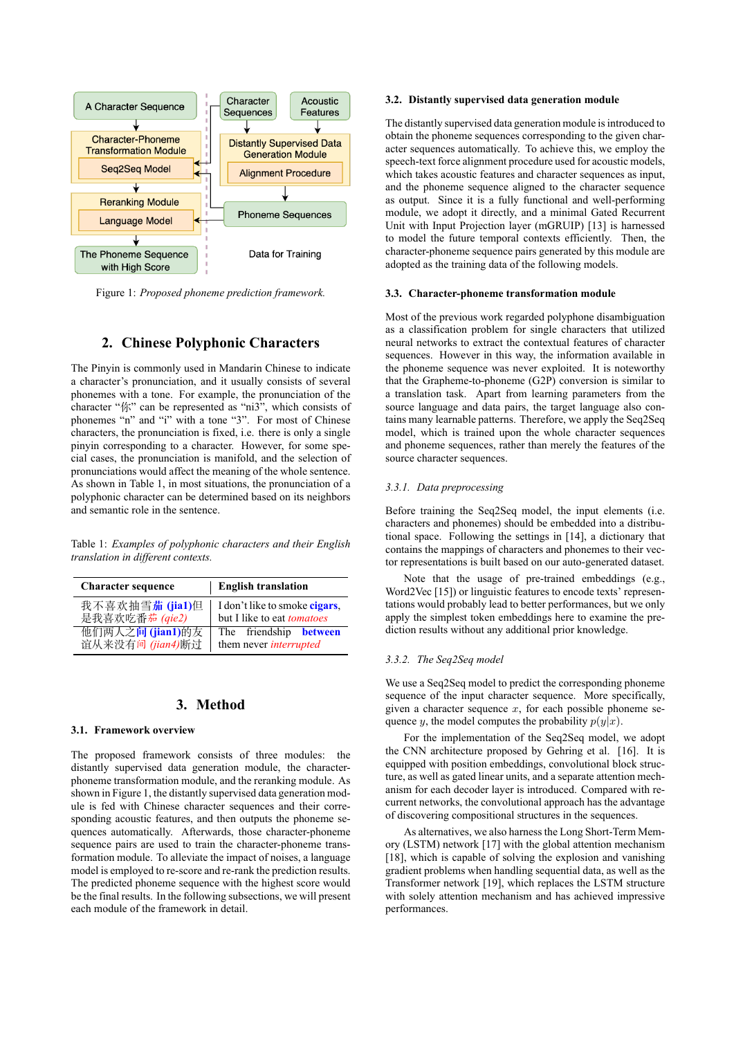

Figure 1: *Proposed phoneme prediction framework.*

# **2. Chinese Polyphonic Characters**

The Pinyin is commonly used in Mandarin Chinese to indicate a character's pronunciation, and it usually consists of several phonemes with a tone. For example, the pronunciation of the character "你" can be represented as "ni3", which consists of phonemes "n" and "i" with a tone "3". For most of Chinese characters, the pronunciation is fixed, i.e. there is only a single pinyin corresponding to a character. However, for some special cases, the pronunciation is manifold, and the selection of pronunciations would affect the meaning of the whole sentence. As shown in Table 1, in most situations, the pronunciation of a polyphonic character can be determined based on its neighbors and semantic role in the sentence.

Table 1: *Examples of polyphonic characters and their English translation in different contexts.*

| <b>Character sequence</b> | <b>English translation</b>        |  |  |  |
|---------------------------|-----------------------------------|--|--|--|
| 我不喜欢抽雪茄 (jia1)但           | I don't like to smoke cigars,     |  |  |  |
| 是我喜欢吃番茄 (qie2)            | but I like to eat <i>tomatoes</i> |  |  |  |
| 他们两人之间 (jian1)的友          | The friendship <b>between</b>     |  |  |  |
| 谊从来没有间 (jian4)断过          | them never <i>interrupted</i>     |  |  |  |

#### **3. Method**

#### **3.1. Framework overview**

The proposed framework consists of three modules: the distantly supervised data generation module, the characterphoneme transformation module, and the reranking module. As shown in Figure 1, the distantly supervised data generation module is fed with Chinese character sequences and their corresponding acoustic features, and then outputs the phoneme sequences automatically. Afterwards, those character-phoneme sequence pairs are used to train the character-phoneme transformation module. To alleviate the impact of noises, a language model is employed to re-score and re-rank the prediction results. The predicted phoneme sequence with the highest score would be the final results. In the following subsections, we will present each module of the framework in detail.

## **3.2. Distantly supervised data generation module**

The distantly supervised data generation module is introduced to obtain the phoneme sequences corresponding to the given character sequences automatically. To achieve this, we employ the speech-text force alignment procedure used for acoustic models, which takes acoustic features and character sequences as input, and the phoneme sequence aligned to the character sequence as output. Since it is a fully functional and well-performing module, we adopt it directly, and a minimal Gated Recurrent Unit with Input Projection layer (mGRUIP) [13] is harnessed to model the future temporal contexts efficiently. Then, the character-phoneme sequence pairs generated by this module are adopted as the training data of the following models.

## **3.3. Character-phoneme transformation module**

Most of the previous work regarded polyphone disambiguation as a classification problem for single characters that utilized neural networks to extract the contextual features of character sequences. However in this way, the information available in the phoneme sequence was never exploited. It is noteworthy that the Grapheme-to-phoneme (G2P) conversion is similar to a translation task. Apart from learning parameters from the source language and data pairs, the target language also contains many learnable patterns. Therefore, we apply the Seq2Seq model, which is trained upon the whole character sequences and phoneme sequences, rather than merely the features of the source character sequences.

### *3.3.1. Data preprocessing*

Before training the Seq2Seq model, the input elements (i.e. characters and phonemes) should be embedded into a distributional space. Following the settings in [14], a dictionary that contains the mappings of characters and phonemes to their vector representations is built based on our auto-generated dataset.

Note that the usage of pre-trained embeddings (e.g., Word2Vec [15]) or linguistic features to encode texts' representations would probably lead to better performances, but we only apply the simplest token embeddings here to examine the prediction results without any additional prior knowledge.

## *3.3.2. The Seq2Seq model*

We use a Seq2Seq model to predict the corresponding phoneme sequence of the input character sequence. More specifically, given a character sequence  $x$ , for each possible phoneme sequence *y*, the model computes the probability  $p(y|x)$ .

For the implementation of the Seq2Seq model, we adopt the CNN architecture proposed by Gehring et al. [16]. It is equipped with position embeddings, convolutional block structure, as well as gated linear units, and a separate attention mechanism for each decoder layer is introduced. Compared with recurrent networks, the convolutional approach has the advantage of discovering compositional structures in the sequences.

As alternatives, we also harness the Long Short-Term Memory (LSTM) network [17] with the global attention mechanism [18], which is capable of solving the explosion and vanishing gradient problems when handling sequential data, as well as the Transformer network [19], which replaces the LSTM structure with solely attention mechanism and has achieved impressive performances.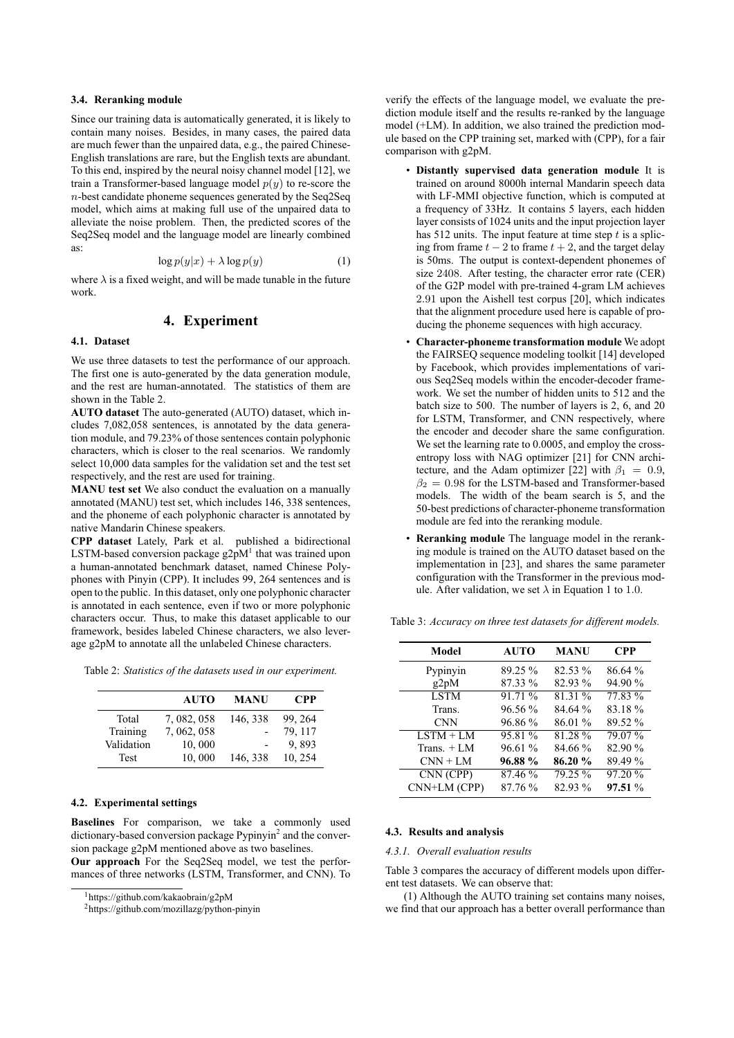## **3.4. Reranking module**

Since our training data is automatically generated, it is likely to contain many noises. Besides, in many cases, the paired data are much fewer than the unpaired data, e.g., the paired Chinese-English translations are rare, but the English texts are abundant. To this end, inspired by the neural noisy channel model [12], we train a Transformer-based language model  $p(y)$  to re-score the *n*-best candidate phoneme sequences generated by the Seq2Seq model, which aims at making full use of the unpaired data to alleviate the noise problem. Then, the predicted scores of the Seq2Seq model and the language model are linearly combined as:

$$
\log p(y|x) + \lambda \log p(y) \tag{1}
$$

where  $\lambda$  is a fixed weight, and will be made tunable in the future work.

# **4. Experiment**

#### **4.1. Dataset**

We use three datasets to test the performance of our approach. The first one is auto-generated by the data generation module, and the rest are human-annotated. The statistics of them are shown in the Table 2.

**AUTO dataset** The auto-generated (AUTO) dataset, which includes 7,082,058 sentences, is annotated by the data generation module, and 79.23% of those sentences contain polyphonic characters, which is closer to the real scenarios. We randomly select 10,000 data samples for the validation set and the test set respectively, and the rest are used for training.

**MANU test set** We also conduct the evaluation on a manually annotated (MANU) test set, which includes 146, 338 sentences, and the phoneme of each polyphonic character is annotated by native Mandarin Chinese speakers.

**CPP dataset** Lately, Park et al. published a bidirectional LSTM-based conversion package  $g2pM<sup>1</sup>$  that was trained upon a human-annotated benchmark dataset, named Chinese Polyphones with Pinyin (CPP). It includes 99, 264 sentences and is open to the public. In this dataset, only one polyphonic character is annotated in each sentence, even if two or more polyphonic characters occur. Thus, to make this dataset applicable to our framework, besides labeled Chinese characters, we also leverage g2pM to annotate all the unlabeled Chinese characters.

Table 2: *Statistics of the datasets used in our experiment.*

|             | <b>AUTO</b> | <b>MANU</b> | <b>CPP</b> |
|-------------|-------------|-------------|------------|
| Total       | 7, 082, 058 | 146, 338    | 99.264     |
| Training    | 7, 062, 058 |             | 79, 117    |
| Validation  | 10,000      |             | 9.893      |
| <b>Test</b> | 10,000      | 146, 338    | 10, 254    |

## **4.2. Experimental settings**

**Baselines** For comparison, we take a commonly used dictionary-based conversion package Pypinyin<sup>2</sup> and the conversion package g2pM mentioned above as two baselines.

**Our approach** For the Seq2Seq model, we test the performances of three networks (LSTM, Transformer, and CNN). To verify the effects of the language model, we evaluate the prediction module itself and the results re-ranked by the language model (+LM). In addition, we also trained the prediction module based on the CPP training set, marked with (CPP), for a fair comparison with g2pM.

- **Distantly supervised data generation module** It is trained on around 8000h internal Mandarin speech data with LF-MMI objective function, which is computed at a frequency of 33Hz. It contains 5 layers, each hidden layer consists of 1024 units and the input projection layer has 512 units. The input feature at time step *t* is a splicing from frame *t −* 2 to frame *t* + 2, and the target delay is 50ms. The output is context-dependent phonemes of size 2408. After testing, the character error rate (CER) of the G2P model with pre-trained 4-gram LM achieves 2*.*91 upon the Aishell test corpus [20], which indicates that the alignment procedure used here is capable of producing the phoneme sequences with high accuracy.
- **Character-phoneme transformation module** We adopt the FAIRSEQ sequence modeling toolkit [14] developed by Facebook, which provides implementations of various Seq2Seq models within the encoder-decoder framework. We set the number of hidden units to 512 and the batch size to 500. The number of layers is 2, 6, and 20 for LSTM, Transformer, and CNN respectively, where the encoder and decoder share the same configuration. We set the learning rate to 0.0005, and employ the crossentropy loss with NAG optimizer [21] for CNN architecture, and the Adam optimizer [22] with  $\beta_1 = 0.9$ ,  $\beta_2 = 0.98$  for the LSTM-based and Transformer-based models. The width of the beam search is 5, and the 50-best predictions of character-phoneme transformation module are fed into the reranking module.
- **Reranking module** The language model in the reranking module is trained on the AUTO dataset based on the implementation in [23], and shares the same parameter configuration with the Transformer in the previous module. After validation, we set  $\lambda$  in Equation 1 to 1.0.

| Model        | <b>AUTO</b> | <b>MANU</b> | <b>CPP</b> |  |
|--------------|-------------|-------------|------------|--|
| Pypinyin     | 89.25 %     | 82.53 %     | 86.64 %    |  |
| g2pM         | 87.33 %     | 82.93 %     | 94.90 %    |  |
| <b>LSTM</b>  | 91.71 %     | 81.31 %     | 77.83 %    |  |
| Trans.       | 96.56 %     | 84.64 %     | 83.18%     |  |
| <b>CNN</b>   | 96.86 %     | 86.01 %     | 89.52 %    |  |
| $LSTM + LM$  | 95.81 %     | 81.28%      | 79.07 %    |  |
| Trans. $+LM$ | 96.61 %     | 84.66 %     | 82.90 %    |  |
| $CNN + LM$   | 96.88 %     | 86.20%      | 89.49 %    |  |
| CNN (CPP)    | 87.46 %     | 79.25 %     | 97.20 %    |  |
| CNN+LM (CPP) | 87.76%      | 82.93 %     | 97.51 %    |  |

Table 3: *Accuracy on three test datasets for different models.*

#### **4.3. Results and analysis**

#### *4.3.1. Overall evaluation results*

Table 3 compares the accuracy of different models upon different test datasets. We can observe that:

(1) Although the AUTO training set contains many noises, we find that our approach has a better overall performance than

<sup>1</sup>https://github.com/kakaobrain/g2pM

<sup>2</sup>https://github.com/mozillazg/python-pinyin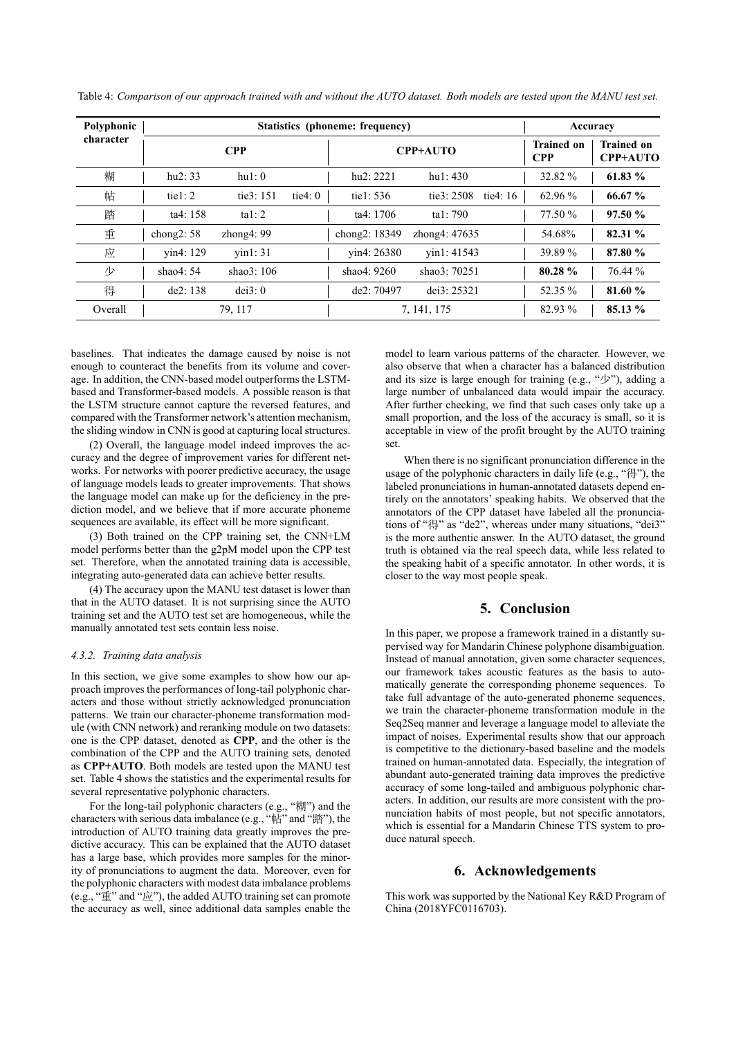| Polyphonic<br>character | Statistics (phoneme: frequency) |                  |           | Accuracy      |                 |            |                                 |                                      |
|-------------------------|---------------------------------|------------------|-----------|---------------|-----------------|------------|---------------------------------|--------------------------------------|
|                         |                                 | <b>CPP</b>       |           |               | <b>CPP+AUTO</b> |            | <b>Trained on</b><br><b>CPP</b> | <b>Trained on</b><br><b>CPP+AUTO</b> |
| 糊                       | hu2: 33                         | hu1:0            |           | hu2: 2221     | hu1:430         |            | 32.82 %                         | 61.83 %                              |
| 帖                       | tie $1:2$                       | tie $3:151$      | tie $4:0$ | tiel: $536$   | tie3: $2508$    | tie $4:16$ | $62.96\%$                       | $66.67\%$                            |
| 踏                       | ta4: 158                        | tal: $2$         |           | ta4: 1706     | ta1:790         |            | 77.50 %                         | 97.50 %                              |
| 重                       | chong $2:58$                    | zhong $4:99$     |           | chong2: 18349 | zhong4: 47635   |            | 54.68%                          | 82.31 %                              |
| 应                       | vin4: 129                       | $\text{vin}1:31$ |           | vin4: 26380   | vin1: 41543     |            | 39.89 %                         | 87.80 %                              |
| 少                       | shao $4:54$                     | shao $3:106$     |           | shao4: $9260$ | shao $3:70251$  |            | $80.28 \%$                      | 76.44 %                              |
| 得                       | de2:138                         | dei3:0           |           | de2:70497     | dei $3:25321$   |            | 52.35 %                         | 81.60 %                              |
| Overall                 |                                 | 79, 117          |           |               | 7, 141, 175     |            | 82.93 %                         | 85.13 %                              |

Table 4: Comparison of our approach trained with and without the AUTO dataset. Both models are tested upon the MANU test set.

baselines. That indicates the damage caused by noise is not enough to counteract the benefits from its volume and coverage. In addition, the CNN-based model outperforms the LSTMbased and Transformer-based models. A possible reason is that the LSTM structure cannot capture the reversed features, and compared with the Transformer network's attention mechanism, the sliding window in CNN is good at capturing local structures.

(2) Overall, the language model indeed improves the accuracy and the degree of improvement varies for different networks. For networks with poorer predictive accuracy, the usage of language models leads to greater improvements. That shows the language model can make up for the deficiency in the prediction model, and we believe that if more accurate phoneme sequences are available, its effect will be more significant.

(3) Both trained on the CPP training set, the CNN+LM model performs better than the g2pM model upon the CPP test set. Therefore, when the annotated training data is accessible. integrating auto-generated data can achieve better results.

(4) The accuracy upon the MANU test dataset is lower than that in the AUTO dataset. It is not surprising since the AUTO training set and the AUTO test set are homogeneous, while the manually annotated test sets contain less noise.

#### 4.3.2. Training data analysis

In this section, we give some examples to show how our approach improves the performances of long-tail polyphonic characters and those without strictly acknowledged pronunciation patterns. We train our character-phoneme transformation module (with CNN network) and reranking module on two datasets: one is the CPP dataset, denoted as CPP, and the other is the combination of the CPP and the AUTO training sets, denoted as CPP+AUTO. Both models are tested upon the MANU test set. Table 4 shows the statistics and the experimental results for several representative polyphonic characters.

For the long-tail polyphonic characters (e.g., "糊") and the characters with serious data imbalance (e.g., "帖" and "踏"), the introduction of AUTO training data greatly improves the predictive accuracy. This can be explained that the AUTO dataset has a large base, which provides more samples for the minority of pronunciations to augment the data. Moreover, even for the polyphonic characters with modest data imbalance problems (e.g., " $\hat{\mathbb{E}}$ " and " $\hat{w}$ "), the added AUTO training set can promote the accuracy as well, since additional data samples enable the

model to learn various patterns of the character. However, we also observe that when a character has a balanced distribution and its size is large enough for training (e.g., " $\mathcal{P}$ "), adding a large number of unbalanced data would impair the accuracy. After further checking, we find that such cases only take up a small proportion, and the loss of the accuracy is small, so it is acceptable in view of the profit brought by the AUTO training set

When there is no significant pronunciation difference in the usage of the polyphonic characters in daily life (e.g., "得"), the labeled pronunciations in human-annotated datasets depend entirely on the annotators' speaking habits. We observed that the annotators of the CPP dataset have labeled all the pronunciations of "得" as "de2", whereas under many situations, "dei3" is the more authentic answer. In the AUTO dataset, the ground truth is obtained via the real speech data, while less related to the speaking habit of a specific annotator. In other words, it is closer to the way most people speak.

# **5. Conclusion**

In this paper, we propose a framework trained in a distantly supervised way for Mandarin Chinese polyphone disambiguation. Instead of manual annotation, given some character sequences, our framework takes acoustic features as the basis to automatically generate the corresponding phoneme sequences. To take full advantage of the auto-generated phoneme sequences, we train the character-phoneme transformation module in the Seq2Seq manner and leverage a language model to alleviate the impact of noises. Experimental results show that our approach is competitive to the dictionary-based baseline and the models trained on human-annotated data. Especially, the integration of abundant auto-generated training data improves the predictive accuracy of some long-tailed and ambiguous polyphonic characters. In addition, our results are more consistent with the pronunciation habits of most people, but not specific annotators, which is essential for a Mandarin Chinese TTS system to produce natural speech.

# 6. Acknowledgements

This work was supported by the National Key R&D Program of China (2018YFC0116703).